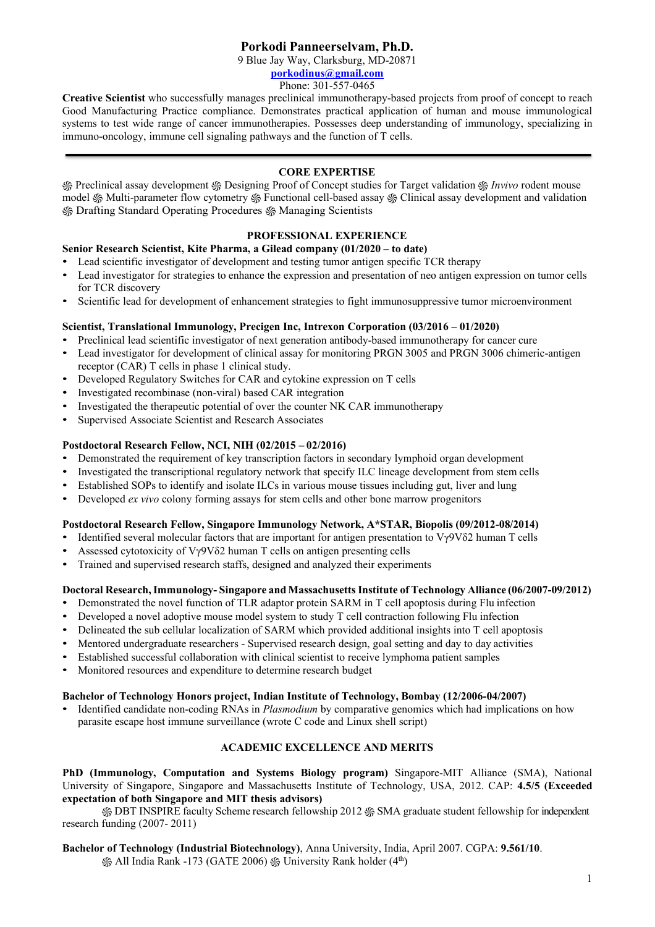# **Porkodi Panneerselvam, Ph.D.**

9 Blue Jay Way, Clarksburg, MD-20871

**[porkodinus@gmail.com](mailto:porkodinus@gmail.com)**

Phone: 301-557-0465

**Creative Scientist** who successfully manages preclinical immunotherapy-based projects from proof of concept to reach Good Manufacturing Practice compliance. Demonstrates practical application of human and mouse immunological systems to test wide range of cancer immunotherapies. Possesses deep understanding of immunology, specializing in immuno-oncology, immune cell signaling pathways and the function of T cells.

# **CORE EXPERTISE**

֍ Preclinical assay development ֍ Designing Proof of Concept studies for Target validation ֍ *Invivo* rodent mouse model ֍ Multi-parameter flow cytometry ֍ Functional cell-based assay ֍ Clinical assay development and validation ֍ Drafting Standard Operating Procedures ֍ Managing Scientists

# **PROFESSIONAL EXPERIENCE**

**Senior Research Scientist, Kite Pharma, a Gilead company (01/2020 – to date)**

- Lead scientific investigator of development and testing tumor antigen specific TCR therapy
- Lead investigator for strategies to enhance the expression and presentation of neo antigen expression on tumor cells for TCR discovery
- Scientific lead for development of enhancement strategies to fight immunosuppressive tumor microenvironment

## **Scientist, Translational Immunology, Precigen Inc, Intrexon Corporation (03/2016 – 01/2020)**

- Preclinical lead scientific investigator of next generation antibody-based immunotherapy for cancer cure
- Lead investigator for development of clinical assay for monitoring PRGN 3005 and PRGN 3006 chimeric-antigen receptor (CAR) T cells in phase 1 clinical study.
- Developed Regulatory Switches for CAR and cytokine expression on T cells
- Investigated recombinase (non-viral) based CAR integration
- Investigated the therapeutic potential of over the counter NK CAR immunotherapy
- Supervised Associate Scientist and Research Associates

## **Postdoctoral Research Fellow, NCI, NIH (02/2015 – 02/2016)**

- Demonstrated the requirement of key transcription factors in secondary lymphoid organ development
- Investigated the transcriptional regulatory network that specify ILC lineage development from stem cells
- Established SOPs to identify and isolate ILCs in various mouse tissues including gut, liver and lung
- Developed *ex vivo* colony forming assays for stem cells and other bone marrow progenitors

## **Postdoctoral Research Fellow, Singapore Immunology Network, A\*STAR, Biopolis (09/2012-08/2014)**

- Identified several molecular factors that are important for antigen presentation to  $V\gamma9V\delta2$  human T cells
- Assessed cytotoxicity of Vγ9Vδ2 human T cells on antigen presenting cells
- Trained and supervised research staffs, designed and analyzed their experiments

## **Doctoral Research,Immunology- Singapore and MassachusettsInstitute of Technology Alliance (06/2007-09/2012)**

- Demonstrated the novel function of TLR adaptor protein SARM in T cell apoptosis during Flu infection
- Developed a novel adoptive mouse model system to study T cell contraction following Flu infection
- Delineated the sub cellular localization of SARM which provided additional insights into T cell apoptosis
- Mentored undergraduate researchers Supervised research design, goal setting and day to day activities
- Established successful collaboration with clinical scientist to receive lymphoma patient samples
- Monitored resources and expenditure to determine research budget

### **Bachelor of Technology Honors project, Indian Institute of Technology, Bombay (12/2006-04/2007)**

• Identified candidate non-coding RNAs in *Plasmodium* by comparative genomics which had implications on how parasite escape host immune surveillance (wrote C code and Linux shell script)

## **ACADEMIC EXCELLENCE AND MERITS**

**PhD (Immunology, Computation and Systems Biology program)** Singapore-MIT Alliance (SMA), National University of Singapore, Singapore and Massachusetts Institute of Technology, USA, 2012. CAP: **4.5/5 (Exceeded expectation of both Singapore and MIT thesis advisors)**

֍ DBT INSPIRE faculty Scheme research fellowship 2012 ֍ SMA graduate student fellowship for independent research funding (2007- 2011)

## **Bachelor of Technology (Industrial Biotechnology)**, Anna University, India, April 2007. CGPA: **9.561/10**.

\$ All India Rank -173 (GATE 2006) \$ University Rank holder (4<sup>th</sup>)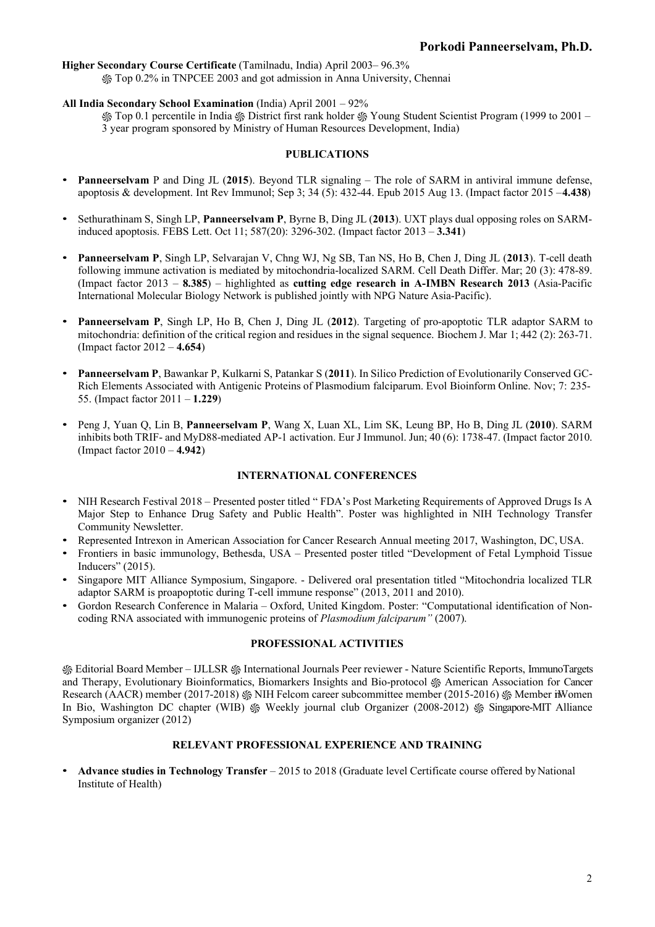### **Higher Secondary Course Certificate** (Tamilnadu, India) April 2003– 96.3%

֍ Top 0.2% in TNPCEE 2003 and got admission in Anna University, Chennai

### **All India Secondary School Examination** (India) April 2001 – 92%

֍ Top 0.1 percentile in India ֍ District first rank holder ֍ Young Student Scientist Program (1999 to 2001 – 3 year program sponsored by Ministry of Human Resources Development, India)

#### **PUBLICATIONS**

- **Panneerselvam** P and Ding JL (**2015**). Beyond TLR signaling The role of SARM in antiviral immune defense, apoptosis & development. Int Rev Immunol; Sep 3; 34 (5): 432-44. Epub 2015 Aug 13. (Impact factor 2015 –**4.438**)
- Sethurathinam S, Singh LP, **Panneerselvam P**, Byrne B, Ding JL (**2013**). UXT plays dual opposing roles on SARMinduced apoptosis. FEBS Lett. Oct 11; 587(20): 3296-302. (Impact factor 2013 – **3.341**)
- **Panneerselvam P**, Singh LP, Selvarajan V, Chng WJ, Ng SB, Tan NS, Ho B, Chen J, Ding JL (**2013**). T-cell death following immune activation is mediated by mitochondria-localized SARM. Cell Death Differ. Mar; 20 (3): 478-89. (Impact factor 2013 – **8.385**) – highlighted as **cutting edge research in A-IMBN Research 2013** (Asia-Pacific International Molecular Biology Network is published jointly with NPG Nature Asia-Pacific).
- **Panneerselvam P**, Singh LP, Ho B, Chen J, Ding JL (**2012**). Targeting of pro-apoptotic TLR adaptor SARM to mitochondria: definition of the critical region and residues in the signal sequence. Biochem J. Mar 1; 442 (2): 263-71. (Impact factor 2012 – **4.654**)
- **Panneerselvam P**, Bawankar P, Kulkarni S, Patankar S (**2011**). In Silico Prediction of Evolutionarily Conserved GC-Rich Elements Associated with Antigenic Proteins of Plasmodium falciparum. Evol Bioinform Online. Nov; 7: 235- 55. (Impact factor 2011 – **1.229**)
- Peng J, Yuan Q, Lin B, **Panneerselvam P**, Wang X, Luan XL, Lim SK, Leung BP, Ho B, Ding JL (**2010**). SARM inhibits both TRIF- and MyD88-mediated AP-1 activation. Eur J Immunol. Jun; 40 (6): 1738-47. (Impact factor 2010. (Impact factor 2010 – **4.942**)

### **INTERNATIONAL CONFERENCES**

- NIH Research Festival 2018 Presented poster titled " FDA's Post Marketing Requirements of Approved Drugs Is A Major Step to Enhance Drug Safety and Public Health". Poster was highlighted in NIH Technology Transfer Community Newsletter.
- Represented Intrexon in American Association for Cancer Research Annual meeting 2017, Washington, DC, USA.
- Frontiers in basic immunology, Bethesda, USA Presented poster titled "Development of Fetal Lymphoid Tissue Inducers" (2015).
- Singapore MIT Alliance Symposium, Singapore. Delivered oral presentation titled "Mitochondria localized TLR adaptor SARM is proapoptotic during T-cell immune response" (2013, 2011 and 2010).
- Gordon Research Conference in Malaria Oxford, United Kingdom. Poster: "Computational identification of Noncoding RNA associated with immunogenic proteins of *Plasmodium falciparum"* (2007).

### **PROFESSIONAL ACTIVITIES**

֍ Editorial Board Member – IJLLSR ֍ International Journals Peer reviewer - Nature Scientific Reports, ImmunoTargets and Therapy, Evolutionary Bioinformatics, Biomarkers Insights and Bio-protocol ֍ American Association for Cancer Research (AACR) member (2017-2018)  $\%$  NIH Felcom career subcommittee member (2015-2016)  $\%$  Member in Women In Bio, Washington DC chapter (WIB) ֍ Weekly journal club Organizer (2008-2012) ֍ Singapore-MIT Alliance Symposium organizer (2012)

#### **RELEVANT PROFESSIONAL EXPERIENCE AND TRAINING**

• **Advance studies in Technology Transfer** – 2015 to 2018 (Graduate level Certificate course offered byNational Institute of Health)